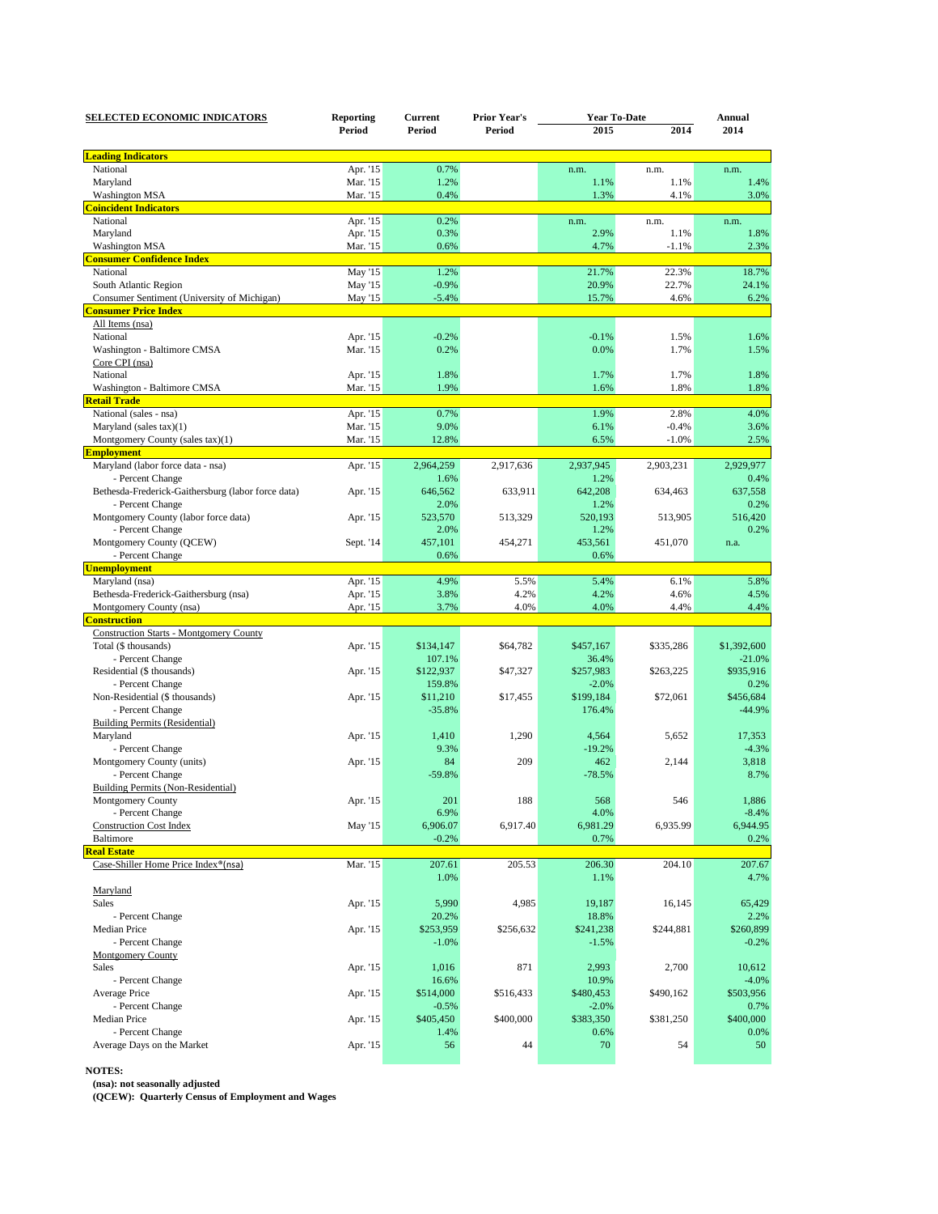| <b>SELECTED ECONOMIC INDICATORS</b>                | <b>Reporting</b><br>Period | Current<br>Period | <b>Prior Year's</b><br>Period | <b>Year To-Date</b> |           | Annual      |
|----------------------------------------------------|----------------------------|-------------------|-------------------------------|---------------------|-----------|-------------|
|                                                    |                            |                   |                               | 2015                | 2014      | 2014        |
| <b>Leading Indicators</b>                          |                            |                   |                               |                     |           |             |
| National                                           | Apr. '15                   | 0.7%              |                               | n.m.                | n.m.      | n.m.        |
| Maryland                                           | Mar. '15                   | 1.2%              |                               | 1.1%                | 1.1%      | 1.4%        |
| <b>Washington MSA</b>                              | Mar. '15                   | 0.4%              |                               | 1.3%                | 4.1%      | 3.0%        |
| <b>Coincident Indicators</b>                       |                            |                   |                               |                     |           |             |
| National                                           | Apr. '15                   | 0.2%              |                               | n.m.                | n.m.      | n.m.        |
| Maryland                                           | Apr. '15                   | 0.3%              |                               | 2.9%                | 1.1%      | 1.8%        |
| <b>Washington MSA</b>                              | Mar. '15                   | 0.6%              |                               | 4.7%                | $-1.1%$   | 2.3%        |
| <b>Consumer Confidence Index</b>                   |                            |                   |                               |                     |           |             |
| National                                           | May '15                    | 1.2%              |                               | 21.7%               | 22.3%     | 18.7%       |
| South Atlantic Region                              | May '15                    | $-0.9%$           |                               | 20.9%               | 22.7%     | 24.1%       |
| Consumer Sentiment (University of Michigan)        | May '15                    | $-5.4%$           |                               | 15.7%               | 4.6%      | 6.2%        |
| <b>Consumer Price Index</b>                        |                            |                   |                               |                     |           |             |
| All Items (nsa)                                    |                            |                   |                               |                     |           |             |
| National                                           | Apr. '15                   | $-0.2%$           |                               | $-0.1%$             | 1.5%      | 1.6%        |
| Washington - Baltimore CMSA                        | Mar. '15                   | 0.2%              |                               | 0.0%                | 1.7%      | 1.5%        |
| Core CPI (nsa)                                     |                            |                   |                               |                     |           |             |
| National                                           | Apr. '15                   | 1.8%              |                               | 1.7%                | 1.7%      | 1.8%        |
| Washington - Baltimore CMSA                        | Mar. '15                   | 1.9%              |                               | 1.6%                | 1.8%      | 1.8%        |
| <b>Retail Trade</b>                                |                            |                   |                               |                     |           |             |
| National (sales - nsa)                             | Apr. '15                   | 0.7%              |                               | 1.9%                | 2.8%      | 4.0%        |
| Maryland (sales tax)(1)                            | Mar. '15                   | 9.0%              |                               | 6.1%                | $-0.4%$   | 3.6%        |
| Montgomery County (sales tax)(1)                   | Mar. '15                   | 12.8%             |                               | 6.5%                | $-1.0%$   | 2.5%        |
| <b>Employment</b>                                  |                            |                   |                               |                     |           |             |
| Maryland (labor force data - nsa)                  | Apr. '15                   | 2,964,259         | 2,917,636                     | 2,937,945           | 2,903,231 | 2.929.977   |
| - Percent Change                                   |                            | 1.6%              |                               | 1.2%                |           | 0.4%        |
| Bethesda-Frederick-Gaithersburg (labor force data) | Apr. '15                   | 646,562           | 633,911                       | 642,208             | 634,463   | 637,558     |
| - Percent Change                                   |                            | 2.0%              |                               | 1.2%                |           | 0.2%        |
| Montgomery County (labor force data)               | Apr. '15                   | 523,570           | 513,329                       | 520,193             | 513,905   | 516,420     |
| - Percent Change                                   |                            | 2.0%              |                               | 1.2%                |           | 0.2%        |
| Montgomery County (QCEW)                           | Sept. '14                  | 457,101           | 454,271                       | 453,561             | 451,070   | n.a.        |
| - Percent Change                                   |                            | 0.6%              |                               | 0.6%                |           |             |
| <b>Unemployment</b>                                |                            |                   |                               |                     |           |             |
| Maryland (nsa)                                     | Apr. '15                   | 4.9%              | 5.5%                          | 5.4%                | 6.1%      | 5.8%        |
| Bethesda-Frederick-Gaithersburg (nsa)              | Apr. '15                   | 3.8%              | 4.2%                          | 4.2%                | 4.6%      | 4.5%        |
| Montgomery County (nsa)                            | Apr. '15                   | 3.7%              | 4.0%                          | 4.0%                | 4.4%      | 4.4%        |
| <b>Construction</b>                                |                            |                   |                               |                     |           |             |
| <b>Construction Starts - Montgomery County</b>     |                            |                   |                               |                     |           |             |
| Total (\$ thousands)                               | Apr. '15                   | \$134,147         | \$64,782                      | \$457,167           | \$335,286 | \$1,392,600 |
| - Percent Change                                   |                            | 107.1%            |                               | 36.4%               |           | $-21.0%$    |
| Residential (\$ thousands)                         | Apr. '15                   | \$122,937         | \$47,327                      | \$257,983           | \$263,225 | \$935,916   |
| - Percent Change                                   |                            | 159.8%            |                               | $-2.0%$             |           | 0.2%        |
| Non-Residential (\$ thousands)                     | Apr. '15                   | \$11,210          | \$17,455                      | \$199,184           | \$72,061  | \$456,684   |
| - Percent Change                                   |                            | $-35.8%$          |                               | 176.4%              |           | $-44.9%$    |
| <b>Building Permits (Residential)</b>              |                            |                   |                               |                     |           |             |
| Maryland                                           | Apr. '15                   | 1,410             | 1,290                         | 4,564               | 5,652     | 17,353      |
| - Percent Change                                   |                            | 9.3%              |                               | $-19.2%$            |           | $-4.3%$     |
| Montgomery County (units)                          | Apr. '15                   | 84                | 209                           | 462                 | 2,144     | 3,818       |
| - Percent Change                                   |                            | $-59.8%$          |                               | $-78.5%$            |           | 8.7%        |
| Building Permits (Non-Residential)                 |                            |                   |                               |                     |           |             |
| Montgomery County                                  | Apr. '15                   | 201               | 188                           | 568                 | 546       | 1,886       |
| - Percent Change                                   |                            | 6.9%              |                               | 4.0%                |           | $-8.4%$     |
| <b>Construction Cost Index</b>                     | May '15                    | 6,906.07          | 6,917.40                      | 6,981.29            | 6,935.99  | 6,944.95    |
| Baltimore                                          |                            | $-0.2%$           |                               | 0.7%                |           | 0.2%        |
| <b>Real Estate</b>                                 |                            |                   |                               |                     |           |             |
| Case-Shiller Home Price Index®(nsa)                | Mar. '15                   | 207.61            | 205.53                        | 206.30              | 204.10    | 207.67      |
|                                                    |                            | 1.0%              |                               | 1.1%                |           | 4.7%        |
| Maryland                                           |                            |                   |                               |                     |           |             |
| Sales                                              | Apr. '15                   | 5,990             | 4,985                         | 19,187              | 16,145    | 65,429      |
| - Percent Change                                   |                            | 20.2%             |                               | 18.8%               |           | 2.2%        |
| Median Price                                       | Apr. '15                   | \$253,959         | \$256,632                     | \$241,238           | \$244,881 | \$260,899   |
| - Percent Change                                   |                            | $-1.0%$           |                               | $-1.5%$             |           | $-0.2%$     |
| <b>Montgomery County</b>                           |                            |                   |                               |                     |           |             |
| Sales                                              | Apr. '15                   | 1,016             | 871                           | 2,993               | 2,700     | 10,612      |
| - Percent Change                                   |                            | 16.6%             |                               | 10.9%               |           | $-4.0%$     |
| Average Price                                      | Apr. '15                   | \$514,000         | \$516,433                     | \$480,453           | \$490,162 | \$503,956   |
| - Percent Change                                   |                            | $-0.5%$           |                               | $-2.0%$             |           | 0.7%        |
| Median Price                                       | Apr. '15                   | \$405,450         | \$400,000                     | \$383,350           | \$381,250 | \$400,000   |
| - Percent Change                                   |                            |                   |                               |                     |           |             |
| Average Days on the Market                         | Apr. '15                   | 1.4%<br>56        | 44                            | 0.6%<br>70          | 54        | 0.0%<br>50  |
|                                                    |                            |                   |                               |                     |           |             |
|                                                    |                            |                   |                               |                     |           |             |

**NOTES: (nsa): not seasonally adjusted**

**(QCEW): Quarterly Census of Employment and Wages**